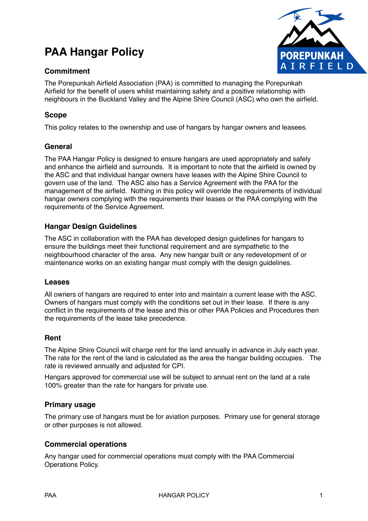# **PAA Hangar Policy**

# **Commitment**



The Porepunkah Airfield Association (PAA) is committed to managing the Porepunkah Airfield for the benefit of users whilst maintaining safety and a positive relationship with neighbours in the Buckland Valley and the Alpine Shire Council (ASC) who own the airfield.

# **Scope**

This policy relates to the ownership and use of hangars by hangar owners and leasees.

# **General**

The PAA Hangar Policy is designed to ensure hangars are used appropriately and safely and enhance the airfield and surrounds. It is important to note that the airfield is owned by the ASC and that individual hangar owners have leases with the Alpine Shire Council to govern use of the land. The ASC also has a Service Agreement with the PAA for the management of the airfield. Nothing in this policy will override the requirements of individual hangar owners complying with the requirements their leases or the PAA complying with the requirements of the Service Agreement.

# **Hangar Design Guidelines**

The ASC in collaboration with the PAA has developed design guidelines for hangars to ensure the buildings meet their functional requirement and are sympathetic to the neighbourhood character of the area. Any new hangar built or any redevelopment of or maintenance works on an existing hangar must comply with the design guidelines.

## **Leases**

All owners of hangars are required to enter into and maintain a current lease with the ASC. Owners of hangars must comply with the conditions set out in their lease. If there is any conflict in the requirements of the lease and this or other PAA Policies and Procedures then the requirements of the lease take precedence.

## **Rent**

The Alpine Shire Council will charge rent for the land annually in advance in July each year. The rate for the rent of the land is calculated as the area the hangar building occupies. The rate is reviewed annually and adjusted for CPI.

Hangars approved for commercial use will be subject to annual rent on the land at a rate 100% greater than the rate for hangars for private use.

## **Primary usage**

The primary use of hangars must be for aviation purposes. Primary use for general storage or other purposes is not allowed.

## **Commercial operations**

Any hangar used for commercial operations must comply with the PAA Commercial Operations Policy.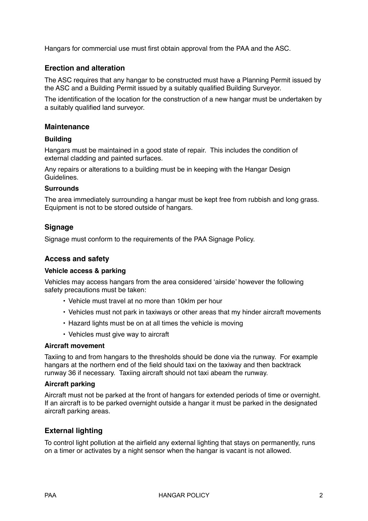Hangars for commercial use must first obtain approval from the PAA and the ASC.

## **Erection and alteration**

The ASC requires that any hangar to be constructed must have a Planning Permit issued by the ASC and a Building Permit issued by a suitably qualified Building Surveyor.

The identification of the location for the construction of a new hangar must be undertaken by a suitably qualified land surveyor.

#### **Maintenance**

#### **Building**

Hangars must be maintained in a good state of repair. This includes the condition of external cladding and painted surfaces.

Any repairs or alterations to a building must be in keeping with the Hangar Design Guidelines.

#### **Surrounds**

The area immediately surrounding a hangar must be kept free from rubbish and long grass. Equipment is not to be stored outside of hangars.

#### **Signage**

Signage must conform to the requirements of the PAA Signage Policy.

#### **Access and safety**

#### **Vehicle access & parking**

Vehicles may access hangars from the area considered 'airside' however the following safety precautions must be taken:

- Vehicle must travel at no more than 10klm per hour
- Vehicles must not park in taxiways or other areas that my hinder aircraft movements
- Hazard lights must be on at all times the vehicle is moving
- Vehicles must give way to aircraft

#### **Aircraft movement**

Taxiing to and from hangars to the thresholds should be done via the runway. For example hangars at the northern end of the field should taxi on the taxiway and then backtrack runway 36 if necessary. Taxiing aircraft should not taxi abeam the runway.

#### **Aircraft parking**

Aircraft must not be parked at the front of hangars for extended periods of time or overnight. If an aircraft is to be parked overnight outside a hangar it must be parked in the designated aircraft parking areas.

#### **External lighting**

To control light pollution at the airfield any external lighting that stays on permanently, runs on a timer or activates by a night sensor when the hangar is vacant is not allowed.